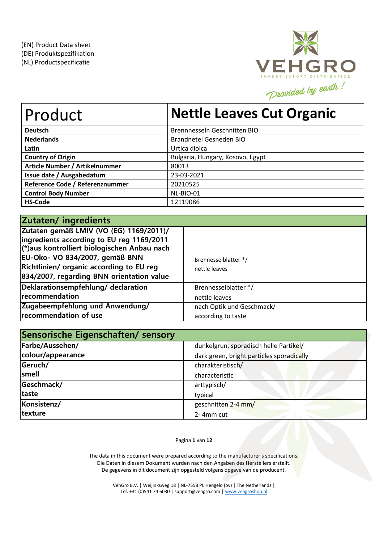

| Product                         | <b>Nettle Leaves Cut Organic</b> |
|---------------------------------|----------------------------------|
| <b>Deutsch</b>                  | Brennnesseln Geschnitten BIO     |
| <b>Nederlands</b>               | Brandnetel Gesneden BIO          |
| Latin                           | Urtica dioica                    |
| <b>Country of Origin</b>        | Bulgaria, Hungary, Kosovo, Egypt |
| Article Number / Artikelnummer  | 80013                            |
| Issue date / Ausgabedatum       | 23-03-2021                       |
| Reference Code / Referenznummer | 20210525                         |
| <b>Control Body Number</b>      | NL-BIO-01                        |
| <b>HS-Code</b>                  | 12119086                         |

| Zutaten/ingredients                                                                                                                                                                                                                                                   |                                       |
|-----------------------------------------------------------------------------------------------------------------------------------------------------------------------------------------------------------------------------------------------------------------------|---------------------------------------|
| Zutaten gemäß LMIV (VO (EG) 1169/2011)/<br>ingredients according to EU reg 1169/2011<br>(*)aus kontrolliert biologischen Anbau nach<br>EU-Oko- VO 834/2007, gemäß BNN<br><b>Richtlinien/ organic according to EU reg</b><br>834/2007, regarding BNN orientation value | Brennesselblatter */<br>nettle leaves |
| Deklarationsempfehlung/ declaration                                                                                                                                                                                                                                   | Brennesselblatter */                  |
| recommendation                                                                                                                                                                                                                                                        | nettle leaves                         |
| Zugabeempfehlung und Anwendung/                                                                                                                                                                                                                                       | nach Optik und Geschmack/             |
| recommendation of use                                                                                                                                                                                                                                                 | according to taste                    |

| Sensorische Eigenschaften/ sensory |                                           |
|------------------------------------|-------------------------------------------|
| Farbe/Aussehen/                    | dunkelgrun, sporadisch helle Partikel/    |
| colour/appearance                  | dark green, bright particles sporadically |
| Geruch/                            | charakteristisch/                         |
| smell                              | characteristic                            |
| Geschmack/                         | arttypisch/                               |
| taste                              | typical                                   |
| Konsistenz/                        | geschnitten 2-4 mm/                       |
| texture                            | 2-4mm cut                                 |

Pagina **1** van **12**

The data in this document were prepared according to the manufacturer's specifications. Die Daten in diesem Dokument wurden nach den Angaben des Herstellers erstellt. De gegevens in dit document zijn opgesteld volgens opgave van de producent.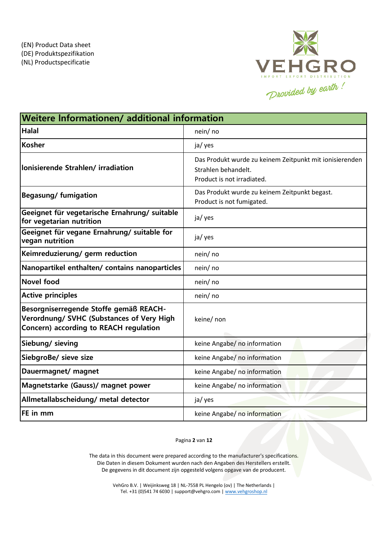

| Weitere Informationen/ additional information                                                                                 |                                                                                                              |  |  |  |  |
|-------------------------------------------------------------------------------------------------------------------------------|--------------------------------------------------------------------------------------------------------------|--|--|--|--|
| <b>Halal</b>                                                                                                                  | nein/ no                                                                                                     |  |  |  |  |
| Kosher                                                                                                                        | ja/ yes                                                                                                      |  |  |  |  |
| lonisierende Strahlen/irradiation                                                                                             | Das Produkt wurde zu keinem Zeitpunkt mit ionisierenden<br>Strahlen behandelt.<br>Product is not irradiated. |  |  |  |  |
| <b>Begasung/fumigation</b>                                                                                                    | Das Produkt wurde zu keinem Zeitpunkt begast.<br>Product is not fumigated.                                   |  |  |  |  |
| Geeignet für vegetarische Ernahrung/ suitable<br>for vegetarian nutrition                                                     | ja/ yes                                                                                                      |  |  |  |  |
| Geeignet für vegane Ernahrung/ suitable for<br>vegan nutrition                                                                | ja/ yes                                                                                                      |  |  |  |  |
| Keimreduzierung/ germ reduction                                                                                               | nein/ no                                                                                                     |  |  |  |  |
| Nanopartikel enthalten/ contains nanoparticles                                                                                | nein/no                                                                                                      |  |  |  |  |
| Novel food                                                                                                                    | nein/no                                                                                                      |  |  |  |  |
| <b>Active principles</b>                                                                                                      | nein/ no                                                                                                     |  |  |  |  |
| Besorgniserregende Stoffe gemäß REACH-<br>Verordnung/ SVHC (Substances of Very High<br>Concern) according to REACH regulation | keine/ non                                                                                                   |  |  |  |  |
| Siebung/ sieving                                                                                                              | keine Angabe/ no information                                                                                 |  |  |  |  |
| SiebgroBe/ sieve size                                                                                                         | keine Angabe/ no information                                                                                 |  |  |  |  |
| Dauermagnet/ magnet                                                                                                           | keine Angabe/ no information                                                                                 |  |  |  |  |
| Magnetstarke (Gauss)/ magnet power                                                                                            | keine Angabe/ no information                                                                                 |  |  |  |  |
| Allmetallabscheidung/ metal detector                                                                                          | ja/ yes                                                                                                      |  |  |  |  |
| <b>FE</b> in mm                                                                                                               | keine Angabe/ no information                                                                                 |  |  |  |  |

Pagina **2** van **12**

The data in this document were prepared according to the manufacturer's specifications. Die Daten in diesem Dokument wurden nach den Angaben des Herstellers erstellt. De gegevens in dit document zijn opgesteld volgens opgave van de producent.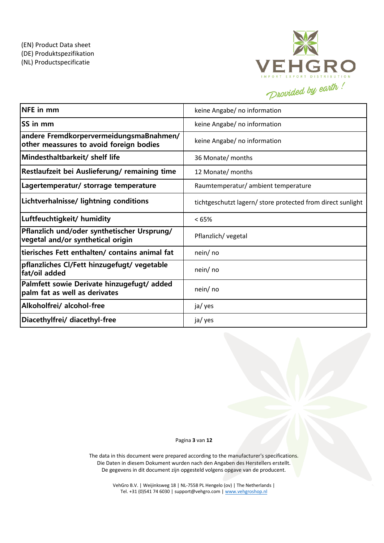

| $NFE$ in mm                                                                        | keine Angabe/ no information                                |
|------------------------------------------------------------------------------------|-------------------------------------------------------------|
| <b>SS</b> in mm                                                                    | keine Angabe/ no information                                |
| andere FremdkorpervermeidungsmaBnahmen/<br>other meassures to avoid foreign bodies | keine Angabe/ no information                                |
| Mindesthaltbarkeit/ shelf life                                                     | 36 Monate/ months                                           |
| Restlaufzeit bei Auslieferung/remaining time                                       | 12 Monate/ months                                           |
| Lagertemperatur/ storrage temperature                                              | Raumtemperatur/ ambient temperature                         |
| Lichtverhalnisse/ lightning conditions                                             | tichtgeschutzt lagern/ store protected from direct sunlight |
| Luftfeuchtigkeit/ humidity                                                         | <65%                                                        |
| Pflanzlich und/oder synthetischer Ursprung/<br>vegetal and/or synthetical origin   | Pflanzlich/ vegetal                                         |
| tierisches Fett enthalten/ contains animal fat                                     | nein/ no                                                    |
| pflanzliches Cl/Fett hinzugefugt/ vegetable<br>fat/oil added                       | nein/ no                                                    |
| Palmfett sowie Derivate hinzugefugt/ added<br>palm fat as well as derivates        | nein/ no                                                    |
| Alkoholfrei/ alcohol-free                                                          | ja/ yes                                                     |
| Diacethylfrei/ diacethyl-free                                                      | ja/ yes                                                     |

#### Pagina **3** van **12**

The data in this document were prepared according to the manufacturer's specifications. Die Daten in diesem Dokument wurden nach den Angaben des Herstellers erstellt. De gegevens in dit document zijn opgesteld volgens opgave van de producent.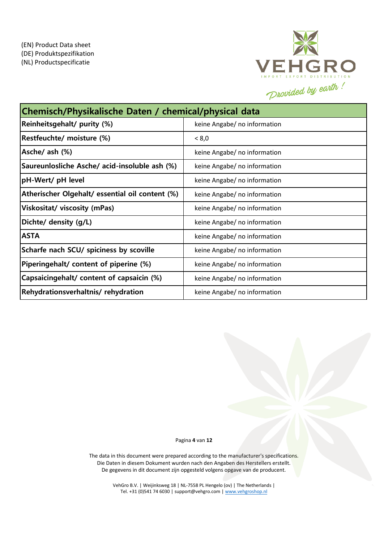

| Chemisch/Physikalische Daten / chemical/physical data |                              |  |  |  |
|-------------------------------------------------------|------------------------------|--|--|--|
| Reinheitsgehalt/ purity (%)                           | keine Angabe/ no information |  |  |  |
| Restfeuchte/ moisture (%)                             | < 8,0                        |  |  |  |
| Asche/ ash (%)                                        | keine Angabe/ no information |  |  |  |
| Saureunlosliche Asche/ acid-insoluble ash (%)         | keine Angabe/ no information |  |  |  |
| pH-Wert/ pH level                                     | keine Angabe/ no information |  |  |  |
| Atherischer Olgehalt/ essential oil content (%)       | keine Angabe/ no information |  |  |  |
| Viskositat/ viscosity (mPas)                          | keine Angabe/ no information |  |  |  |
| Dichte/ density (g/L)                                 | keine Angabe/ no information |  |  |  |
| <b>ASTA</b>                                           | keine Angabe/ no information |  |  |  |
| Scharfe nach SCU/ spiciness by scoville               | keine Angabe/ no information |  |  |  |
| Piperingehalt/ content of piperine (%)                | keine Angabe/ no information |  |  |  |
| Capsaicingehalt/ content of capsaicin (%)             | keine Angabe/ no information |  |  |  |
| Rehydrationsverhaltnis/rehydration                    | keine Angabe/ no information |  |  |  |

Pagina **4** van **12**

The data in this document were prepared according to the manufacturer's specifications. Die Daten in diesem Dokument wurden nach den Angaben des Herstellers erstellt. De gegevens in dit document zijn opgesteld volgens opgave van de producent.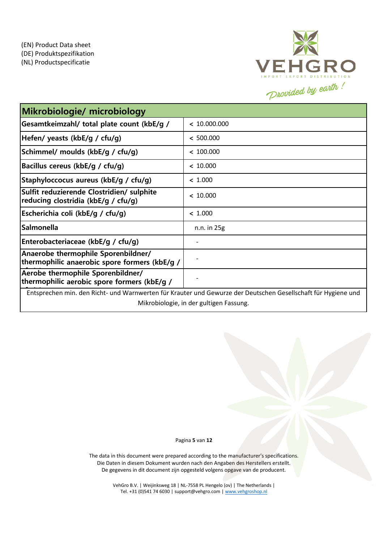

| Mikrobiologie/ microbiology                                                                                   |              |  |  |  |
|---------------------------------------------------------------------------------------------------------------|--------------|--|--|--|
| Gesamtkeimzahl/ total plate count (kbE/g /                                                                    | < 10.000.000 |  |  |  |
| Hefen/ yeasts (kbE/g / cfu/g)                                                                                 | < 500.000    |  |  |  |
| Schimmel/ moulds (kbE/g / cfu/g)                                                                              | < 100.000    |  |  |  |
| Bacillus cereus (kbE/g / cfu/g)                                                                               | < 10.000     |  |  |  |
| Staphyloccocus aureus (kbE/g / cfu/g)                                                                         | < 1.000      |  |  |  |
| Sulfit reduzierende Clostridien/ sulphite<br>reducing clostridia (kbE/g / cfu/g)                              | < 10.000     |  |  |  |
| Escherichia coli (kbE/g / cfu/g)                                                                              | < 1.000      |  |  |  |
| <b>Salmonella</b>                                                                                             | n.n. in 25g  |  |  |  |
| Enterobacteriaceae (kbE/g / cfu/g)                                                                            |              |  |  |  |
| Anaerobe thermophile Sporenbildner/<br>thermophilic anaerobic spore formers (kbE/g /                          |              |  |  |  |
| Aerobe thermophile Sporenbildner/<br>thermophilic aerobic spore formers (kbE/g /                              |              |  |  |  |
| Entsprechen min. den Richt- und Warnwerten für Krauter und Gewurze der Deutschen Gesellschaft für Hygiene und |              |  |  |  |
| Mikrobiologie, in der gultigen Fassung.                                                                       |              |  |  |  |

#### Pagina **5** van **12**

The data in this document were prepared according to the manufacturer's specifications. Die Daten in diesem Dokument wurden nach den Angaben des Herstellers erstellt. De gegevens in dit document zijn opgesteld volgens opgave van de producent.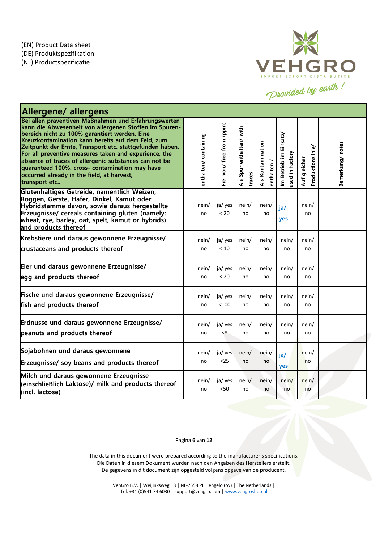

| <b>Allergene/ allergens</b>                                                                                                                                                                                                                                                                                                                                                                                                                                                                                         |                      |                           |                                    |                                  |                                           |                                   |                 |
|---------------------------------------------------------------------------------------------------------------------------------------------------------------------------------------------------------------------------------------------------------------------------------------------------------------------------------------------------------------------------------------------------------------------------------------------------------------------------------------------------------------------|----------------------|---------------------------|------------------------------------|----------------------------------|-------------------------------------------|-----------------------------------|-----------------|
| Bei allen praventiven MaBnahmen und Erfahrungswerten<br>kann die Abwesenheit von allergenen Stoffen im Spuren-<br>bereich nicht zu 100% garantiert werden. Eine<br>Kreuzkontamination kann bereits auf dem Feld, zum<br>Zeitpunkt der Ernte, Transport etc. stattgefunden haben.<br>For all preventive measures taken and experience, the<br>absence of traces of allergenic substances can not be<br>guaranteed 100%. cross- contamination may have<br>occurred already in the field, at harvest,<br>transport etc | enthalten/containing | Frei von/ free from (ppm) | Als Spur enthalten/ with<br>traces | Als Kontamination<br>enthalten / | Im Betrieb im Einsatz/<br>used in factory | Produktionslinie/<br>Auf gleicher | Bemerkung/notes |
| Glutenhaltiges Getreide, namentlich Weizen,<br>Roggen, Gerste, Hafer, Dinkel, Kamut oder<br>Hybridstamme davon, sowie daraus hergestellte<br>Erzeugnisse/ cereals containing gluten (namely:<br>wheat, rye, barley, oat, spelt, kamut or hybrids)<br>and products thereof                                                                                                                                                                                                                                           | nein/<br>no          | ja/yes<br>< 20            | nein/<br>no                        | nein/<br>no                      | ja/<br>yes                                | nein/<br>no                       |                 |
| Krebstiere und daraus gewonnene Erzeugnisse/                                                                                                                                                                                                                                                                                                                                                                                                                                                                        | nein/                | ja/ yes                   | nein/                              | nein/                            | nein/                                     | nein/                             |                 |
| crustaceans and products thereof                                                                                                                                                                                                                                                                                                                                                                                                                                                                                    | no                   | < 10                      | no                                 | no                               | no                                        | no                                |                 |
| Eier und daraus gewonnene Erzeugnisse/                                                                                                                                                                                                                                                                                                                                                                                                                                                                              | nein/                | ja/ yes                   | nein/                              | nein/                            | nein/                                     | nein/                             |                 |
| egg and products thereof                                                                                                                                                                                                                                                                                                                                                                                                                                                                                            | no                   | < 20                      | no                                 | no                               | no                                        | no                                |                 |
| Fische und daraus gewonnene Erzeugnisse/                                                                                                                                                                                                                                                                                                                                                                                                                                                                            | nein/                | ja/ yes                   | nein/                              | nein/                            | nein/                                     | nein/                             |                 |
| fish and products thereof                                                                                                                                                                                                                                                                                                                                                                                                                                                                                           | no                   | < 100                     | no                                 | no                               | no                                        | no                                |                 |
| Erdnusse und daraus gewonnene Erzeugnisse/                                                                                                                                                                                                                                                                                                                                                                                                                                                                          | nein/                | ja/ yes                   | nein/                              | nein/                            | nein/                                     | nein/                             |                 |
| peanuts and products thereof                                                                                                                                                                                                                                                                                                                                                                                                                                                                                        | no                   | < 8                       | no                                 | no                               | no                                        | no                                |                 |
| Sojabohnen und daraus gewonnene                                                                                                                                                                                                                                                                                                                                                                                                                                                                                     | nein/                | ja/ yes                   | nein/                              | nein/                            | ja/                                       | nein/                             |                 |
| Erzeugnisse/ soy beans and products thereof                                                                                                                                                                                                                                                                                                                                                                                                                                                                         | no                   | $25$                      | no                                 | no                               | yes                                       | no                                |                 |
| Milch und daraus gewonnene Erzeugnisse<br>(einschlieBlich Laktose)/ milk and products thereof<br>(incl. lactose)                                                                                                                                                                                                                                                                                                                                                                                                    | nein/<br>no          | ja/ yes<br>< 50           | nein/<br>no                        | nein/<br>no                      | nein/<br>no                               | nein/<br>no                       |                 |

### Pagina **6** van **12**

The data in this document were prepared according to the manufacturer's specifications. Die Daten in diesem Dokument wurden nach den Angaben des Herstellers erstellt. De gegevens in dit document zijn opgesteld volgens opgave van de producent.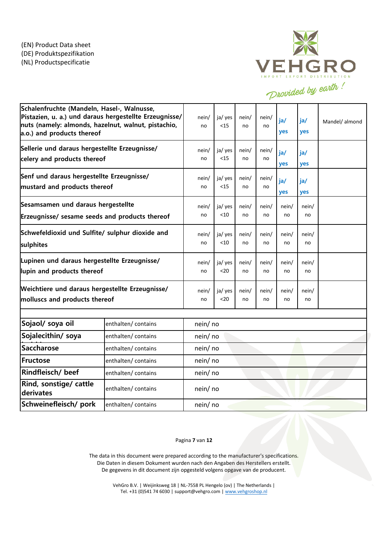

| Schalenfruchte (Mandeln, Hasel-, Walnusse,<br>Pistazien, u. a.) und daraus hergestellte Erzeugnisse/<br>nuts (namely: almonds, hazelnut, walnut, pistachio,<br>a.o.) and products thereof |                     | nein/<br>no | ja/ yes<br>$15$   | nein/<br>no | nein/<br>no | ja/<br>yes  | ja/<br>yes  | Mandel/ almond |
|-------------------------------------------------------------------------------------------------------------------------------------------------------------------------------------------|---------------------|-------------|-------------------|-------------|-------------|-------------|-------------|----------------|
| Sellerie und daraus hergestellte Erzeugnisse/<br>celery and products thereof                                                                                                              |                     | nein/<br>no | ja/ yes<br><15    | nein/<br>no | nein/<br>no | ja/<br>yes  | ja/<br>yes  |                |
| Senf und daraus hergestellte Erzeugnisse/<br>mustard and products thereof                                                                                                                 |                     | nein/<br>no | ja/ yes<br>$15$   | nein/<br>no | nein/<br>no | ja/<br>yes  | ja/<br>yes  |                |
| Sesamsamen und daraus hergestellte<br>Erzeugnisse/ sesame seeds and products thereof                                                                                                      |                     | nein/<br>no | ja/ yes<br>$<$ 10 | nein/<br>no | nein/<br>no | nein/<br>no | nein/<br>no |                |
| Schwefeldioxid und Sulfite/ sulphur dioxide and<br>sulphites                                                                                                                              |                     | nein/<br>no | ja/ yes<br>$<$ 10 | nein/<br>no | nein/<br>no | nein/<br>no | nein/<br>no |                |
| Lupinen und daraus hergestellte Erzeugnisse/<br>lupin and products thereof                                                                                                                |                     | nein/<br>no | ja/ yes<br>$20$   | nein/<br>no | nein/<br>no | nein/<br>no | nein/<br>no |                |
| Weichtiere und daraus hergestellte Erzeugnisse/<br>molluscs and products thereof                                                                                                          |                     | nein/<br>no | ja/ yes<br>$20$   | nein/<br>no | nein/<br>no | nein/<br>no | nein/<br>no |                |
| Sojaol/ soya oil                                                                                                                                                                          | enthalten/ contains | nein/no     |                   |             |             |             |             |                |
| Sojalecithin/ soya                                                                                                                                                                        | enthalten/contains  | nein/ no    |                   |             |             |             |             |                |
| <b>Saccharose</b>                                                                                                                                                                         | enthalten/contains  | nein/ no    |                   |             |             |             |             |                |
| Fructose                                                                                                                                                                                  | enthalten/contains  | nein/ no    |                   |             |             |             |             |                |
| Rindfleisch/ beef                                                                                                                                                                         | enthalten/contains  | nein/ no    |                   |             |             |             |             |                |
| Rind, sonstige/ cattle<br>derivates                                                                                                                                                       | enthalten/contains  | nein/ no    |                   |             |             |             |             |                |
| Schweinefleisch/ pork<br>enthalten/contains                                                                                                                                               |                     | nein/no     |                   |             |             |             |             |                |

Pagina **7** van **12**

The data in this document were prepared according to the manufacturer's specifications. Die Daten in diesem Dokument wurden nach den Angaben des Herstellers erstellt. De gegevens in dit document zijn opgesteld volgens opgave van de producent.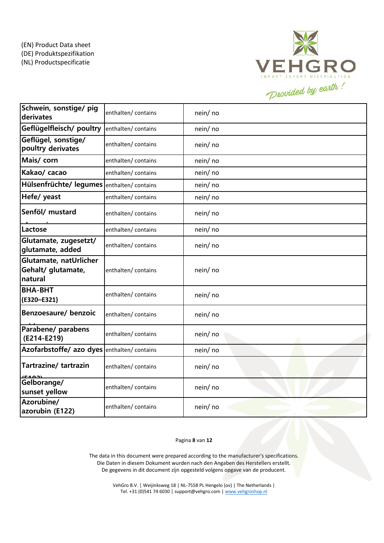

| Schwein, sonstige/ pig<br>derivates                     | enthalten/ contains | nein/no  |
|---------------------------------------------------------|---------------------|----------|
| Geflügelfleisch/ poultry                                | enthalten/ contains | nein/no  |
| Geflügel, sonstige/<br>poultry derivates                | enthalten/contains  | nein/ no |
| Mais/ corn                                              | enthalten/contains  | nein/no  |
| Kakao/ cacao                                            | enthalten/contains  | nein/ no |
| Hülsenfrüchte/ legumes enthalten/ contains              |                     | nein/ no |
| Hefe/ yeast                                             | enthalten/contains  | nein/ no |
| Senföl/ mustard                                         | enthalten/contains  | nein/ no |
| Lactose                                                 | enthalten/contains  | nein/ no |
| Glutamate, zugesetzt/<br>glutamate, added               | enthalten/contains  | nein/ no |
| Glutamate, natUrlicher<br>Gehalt/ glutamate,<br>natural | enthalten/contains  | nein/no  |
| <b>BHA-BHT</b><br>(E320-E321)                           | enthalten/contains  | nein/no  |
| Benzoesaure/ benzoic                                    | enthalten/contains  | nein/ no |
| Parabene/ parabens<br>(E214-E219)                       | enthalten/contains  | nein/no  |
| Azofarbstoffe/ azo dyes enthalten/ contains             |                     | nein/no  |
| Tartrazine/tartrazin                                    | enthalten/contains  | nein/no  |
| Gelborange/<br>sunset yellow                            | enthalten/ contains | nein/no  |
| Azorubine/<br>azorubin (E122)                           | enthalten/contains  | nein/no  |

### Pagina **8** van **12**

The data in this document were prepared according to the manufacturer's specifications. Die Daten in diesem Dokument wurden nach den Angaben des Herstellers erstellt. De gegevens in dit document zijn opgesteld volgens opgave van de producent.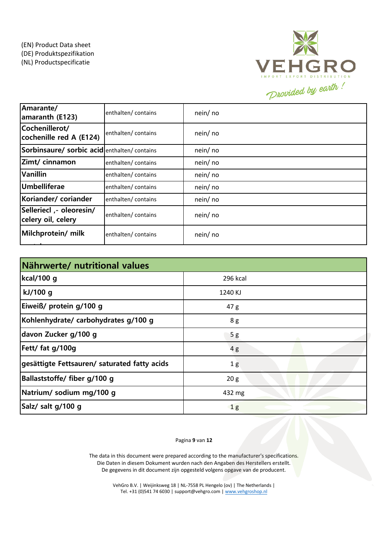

| Amarante/<br>amaranth (E123)                   | enthalten/contains  | nein/ no |
|------------------------------------------------|---------------------|----------|
| Cochenillerot/<br>cochenille red A (E124)      | enthalten/contains  | nein/ no |
| Sorbinsaure/ sorbic acidenthalten/ contains    |                     | nein/ no |
| Zimt/ cinnamon                                 | enthalten/contains  | nein/ no |
| <b>Vanillin</b>                                | enthalten/contains  | nein/ no |
| Umbelliferae                                   | enthalten/contains  | nein/ no |
| Koriander/coriander                            | enthalten/ contains | nein/ no |
| Selleriecl ,- oleoresin/<br>celery oil, celery | enthalten/ contains | nein/ no |
| Milchprotein/ milk                             | enthalten/contains  | nein/ no |

| Nährwerte/ nutritional values                |                |  |  |  |  |
|----------------------------------------------|----------------|--|--|--|--|
| kcal/100 g                                   | 296 kcal       |  |  |  |  |
| kJ/100 g                                     | 1240 KJ        |  |  |  |  |
| Eiweiß/ protein g/100 g                      | 47 g           |  |  |  |  |
| Kohlenhydrate/ carbohydrates g/100 g         | 8 g            |  |  |  |  |
| davon Zucker g/100 g                         | 5g             |  |  |  |  |
| Fett/ fat g/100g                             | 4g             |  |  |  |  |
| gesättigte Fettsauren/ saturated fatty acids | 1g             |  |  |  |  |
| Ballaststoffe/ fiber g/100 g                 | 20 g           |  |  |  |  |
| Natrium/ sodium mg/100 g                     | 432 mg         |  |  |  |  |
| Salz/ salt g/100 g                           | 1 <sub>g</sub> |  |  |  |  |

Pagina **9** van **12**

The data in this document were prepared according to the manufacturer's specifications. Die Daten in diesem Dokument wurden nach den Angaben des Herstellers erstellt. De gegevens in dit document zijn opgesteld volgens opgave van de producent.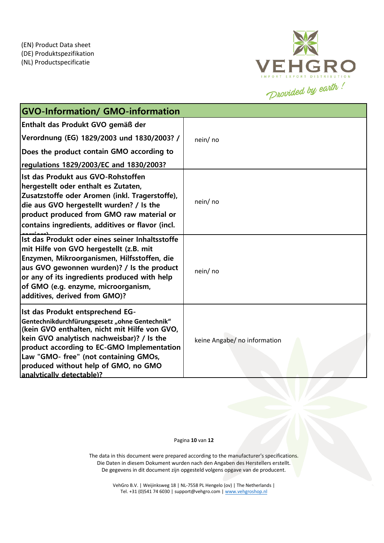

| <b>GVO-Information/ GMO-information</b>                                                                                                                                                                                                                                                                                                              |                              |
|------------------------------------------------------------------------------------------------------------------------------------------------------------------------------------------------------------------------------------------------------------------------------------------------------------------------------------------------------|------------------------------|
| Enthalt das Produkt GVO gemäß der                                                                                                                                                                                                                                                                                                                    |                              |
| Verordnung (EG) 1829/2003 und 1830/2003? /                                                                                                                                                                                                                                                                                                           | nein/ no                     |
| Does the product contain GMO according to                                                                                                                                                                                                                                                                                                            |                              |
| regulations 1829/2003/EC and 1830/2003?                                                                                                                                                                                                                                                                                                              |                              |
| Ist das Produkt aus GVO-Rohstoffen<br>hergestellt oder enthalt es Zutaten,<br>Zusatzstoffe oder Aromen (inkl. Tragerstoffe),<br>die aus GVO hergestellt wurden? / Is the<br>product produced from GMO raw material or<br>contains ingredients, additives or flavor (incl.                                                                            | nein/ no                     |
| Ist das Produkt oder eines seiner Inhaltsstoffe<br>mit Hilfe von GVO hergestellt (z.B. mit<br>Enzymen, Mikroorganismen, Hilfsstoffen, die<br>aus GVO gewonnen wurden)? / Is the product<br>or any of its ingredients produced with help<br>of GMO (e.g. enzyme, microorganism,<br>additives, derived from GMO)?                                      | nein/ no                     |
| <b>Ist das Produkt entsprechend EG-</b><br>Gentechnikdurchfürungsgesetz "ohne Gentechnik"<br>(kein GVO enthalten, nicht mit Hilfe von GVO,<br>kein GVO analytisch nachweisbar)? / Is the<br>product according to EC-GMO Implementation<br>Law "GMO- free" (not containing GMOs,<br>produced without help of GMO, no GMO<br>analytically detectable)? | keine Angabe/ no information |

Pagina **10** van **12**

The data in this document were prepared according to the manufacturer's specifications. Die Daten in diesem Dokument wurden nach den Angaben des Herstellers erstellt. De gegevens in dit document zijn opgesteld volgens opgave van de producent.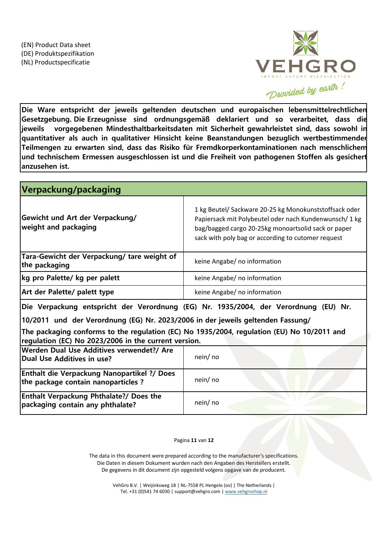

**Die Ware entspricht der jeweils geltenden deutschen und europaischen lebensmittelrechtlichen Gesetzgebung. Die Erzeugnisse sind ordnungsgemäß deklariert und so verarbeitet, dass die jeweils vorgegebenen Mindesthaltbarkeitsdaten mit Sicherheit gewahrleistet sind, dass sowohl in quantitativer als auch in qualitativer Hinsicht keine Beanstandungen bezuglich wertbestimmender Teilmengen zu erwarten sind, dass das Risiko für Fremdkorperkontaminationen nach menschlichem und technischem Ermessen ausgeschlossen ist und die Freiheit von pathogenen Stoffen als gesichert anzusehen ist.**

| Verpackung/packaging                                                                                                                               |                                                                                                                                                                                                                               |
|----------------------------------------------------------------------------------------------------------------------------------------------------|-------------------------------------------------------------------------------------------------------------------------------------------------------------------------------------------------------------------------------|
| Gewicht und Art der Verpackung/<br>weight and packaging                                                                                            | 1 kg Beutel/ Sackware 20-25 kg Monokunststoffsack oder<br>Papiersack mit Polybeutel oder nach Kundenwunsch/ 1 kg<br>bag/bagged cargo 20-25kg monoartsolid sack or paper<br>sack with poly bag or according to cutomer request |
| Tara-Gewicht der Verpackung/ tare weight of<br>the packaging                                                                                       | keine Angabe/ no information                                                                                                                                                                                                  |
| kg pro Palette/ kg per palett                                                                                                                      | keine Angabe/ no information                                                                                                                                                                                                  |
| Art der Palette/ palett type                                                                                                                       | keine Angabe/ no information                                                                                                                                                                                                  |
| Die Verpackung entspricht der Verordnung (EG) Nr. 1935/2004, der Verordnung (EU) Nr.                                                               |                                                                                                                                                                                                                               |
| 10/2011 und der Verordnung (EG) Nr. 2023/2006 in der jeweils geltenden Fassung/                                                                    |                                                                                                                                                                                                                               |
| The packaging conforms to the regulation (EC) No 1935/2004, regulation (EU) No 10/2011 and<br>regulation (EC) No 2023/2006 in the current version. |                                                                                                                                                                                                                               |
| Werden Dual Use Additives verwendet?/ Are<br>Dual Use Additives in use?                                                                            | nein/ no                                                                                                                                                                                                                      |
| <b>Enthalt die Verpackung Nanopartikel ?/ Does</b><br>the package contain nanoparticles?                                                           | nein/no                                                                                                                                                                                                                       |
| <b>Enthalt Verpackung Phthalate?/ Does the</b><br>packaging contain any phthalate?                                                                 | nein/ no                                                                                                                                                                                                                      |

## Pagina **11** van **12**

The data in this document were prepared according to the manufacturer's specifications. Die Daten in diesem Dokument wurden nach den Angaben des Herstellers erstellt. De gegevens in dit document zijn opgesteld volgens opgave van de producent.